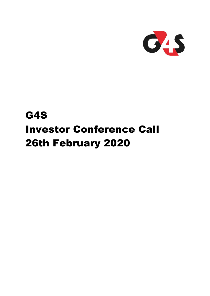

# G4S Investor Conference Call 26th February 2020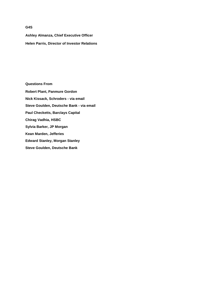# **G4S**

**Ashley Almanza, Chief Executive Officer Helen Parris, Director of Investor Relations**

**Questions From Robert Plant, Panmure Gordon Nick Kissack, Schroders - via email Steve Goulden, Deutsche Bank - via email Paul Checketts, Barclays Capital Chirag Vadhia, HSBC Sylvia Barker, JP Morgan Kean Marden, Jefferies Edward Stanley, Morgan Stanley Steve Goulden, Deutsche Bank**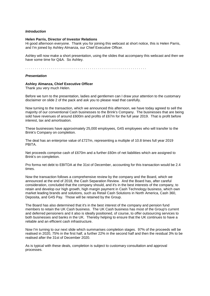# *Introduction*

## **Helen Parris, Director of Investor Relations**

Hi good afternoon everyone. Thank you for joining this webcast at short notice, this is Helen Parris, and I'm joined by Ashley Almanza, our Chief Executive Officer.

Ashley will now make a short presentation, using the slides that accompany this webcast and then we have some time for Q&A. So Ashley.

. . . . . . . . . . . . . . . . . . . . . . . . . . . . . . . . . . . . . . . . . . . . . . . . . . . . . . . . . . . . . .

# *Presentation*

## **Ashley Almanza, Chief Executive Officer**

Thank you very much Helen.

Before we turn to the presentation, ladies and gentlemen can I draw your attention to the customary disclaimer on slide 2 of the pack and ask you to please read that carefully.

Now turning to the transaction, which we announced this afternoon, we have today agreed to sell the majority of our conventional Cash businesses to the Brink's Company. The businesses that are being sold have revenues of around £600m and profits of £67m for the full year 2019. That is profit before interest, tax and amortisation.

These businesses have approximately 25,000 employees, G4S employees who will transfer to the Brink's Company on completion.

The deal has an enterprise value of £727m, representing a multiple of 10.8 times full year 2019 PBITA.

Net proceeds comprise cash of £670m and a further £60m of net liabilities which are assigned to Brink's on completion.

Pro forma net debt to EBITDA at the 31st of December, accounting for this transaction would be 2.4 times.

Now the transaction follows a comprehensive review by the company and the Board, which we announced at the end of 2018, the Cash Separation Review. And the Board has, after careful consideration, concluded that the company should, and it's in the best interests of the company, to retain and develop our high growth, high margin payment in Cash Technology business, which own market leading brands and solutions, such as Retail Cash Solutions in North America, Cash 360, Deposita, and G4S Pay. Those will be retained by the Group.

The Board has also determined that it's in the best interest of the company and pension fund members to retain the UK Cash business. The UK Cash business has most of the Group's current and deferred pensioners and it also is ideally positioned, of course, to offer outsourcing services to both businesses and banks in the UK. Thereby helping to ensure that the UK continues to have a reliable and an efficient cash infrastructure.

Now I'm turning to our next slide which summarises completion stages. 97% of the proceeds will be realised in 2020, 75% in the first half, a further 22% in the second half and then the residual 3% to be realised after the 31st of December 2020.

As is typical with these deals, completion is subject to customary consultation and approval processes.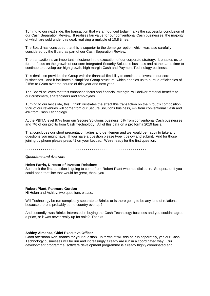Turning to our next slide, the transaction that we announced today marks the successful conclusion of our Cash Separation Review. It realises fair value for our conventional Cash businesses, the majority of which are sold under this deal, realising a multiple of 10.8 times.

The Board has concluded that this is superior to the demerger option which was also carefully considered by the Board as part of our Cash Separation Review.

The transaction is an important milestone in the execution of our corporate strategy. It enables us to further focus on the growth of our core Integrated Security Solutions business and at the same time to continue to develop our high growth, high margin Cash and Payment Technology business.

This deal also provides the Group with the financial flexibility to continue to invest in our core businesses. And it facilitates a simplified Group structure, which enables us to pursue efficiencies of £15m to £20m over the course of this year and next year.

The Board believes that this enhanced focus and financial strength, will deliver material benefits to our customers, shareholders and employees.

Turning to our last slide, this, I think illustrates the effect this transaction on the Group's composition. 92% of our revenues will come from our Secure Solutions business, 4% from conventional Cash and 4% from Cash Technology.

At the PBITA level 87% from our Secure Solutions business, 6% from conventional Cash businesses and 7% of our profits from Cash Technology. All of this data on a pro forma 2019 basis.

That concludes our short presentation ladies and gentlemen and we would be happy to take any questions you might have. If you have a question please type it below and submit. And for those joining by phone please press \*1 on your keypad. We're ready for the first question.

. . . . . . . . . . . . . . . . . . . . . . . . . . . . . . . . . . . . . . . . . . . . . . . . . . . . . . . . . . . . . .

#### *Questions and Answers*

## **Helen Parris, Director of Investor Relations**

So I think the first question is going to come from Robert Plant who has dialled in. So operator if you could open that line that would be great, thank you.

. . . . . . . . . . . . . . . . . . . . . . . . . . . . . . . . . . . . . . . . . . . . . . . . . . . . . . . . . . . . . .

#### **Robert Plant, Panmure Gordon**

Hi Helen and Ashley, two questions please.

Will Technology be run completely separate to Brink's or is there going to be any kind of relations because there is probably some country overlap?

And secondly, was Brink's interested in buying the Cash Technology business and you couldn't agree a price, or it was never really up for sale? Thanks.

. . . . . . . . . . . . . . . . . . . . . . . . . . . . . . . . . . . . . . . . . . . . . . . . . . . . . . . . . . . . . .

#### **Ashley Almanza, Chief Executive Officer**

Good afternoon Rob, thanks for your question. In terms of will this be run separately, yes our Cash Technology businesses will be run and increasingly already are run in a coordinated way. Our development programme, software development programme is already highly coordinated and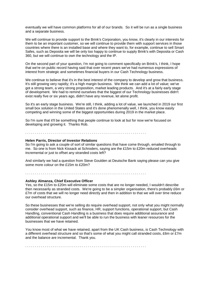eventually we will have common platforms for all of our brands. So it will be run as a single business and a separate business.

We will continue to provide support to the Brink's Corporation, you know, it's clearly in our interests for them to be an important customer, so we will continue to provide them with support services in those countries where there is an installed base and where they want to, for example, continue to sell Smart Safes, such as Deposita we will be only too happy to continue to supply Brink's with Deposita or Cash 360, but we will continue to own the technology and the IP.

On the second part of your question, I'm not going to comment specifically on Brink's, I think, I hope that we're on public record having said that over recent years we've had numerous expressions of interest from strategic and sometimes financial buyers in our Cash Technology business.

We continue to believe that it's in the best interest of the company to develop and grow that business. It's still growing very rapidly; it's a high margin business. We think we can add a lot of value; we've got a strong team, a very strong proposition, market leading products. And it's at a fairly early stage of development. We had to remind ourselves that the biggest of our Technology businesses didn't exist really five or six years ago, didn't have any revenue, let alone profit.

So it's an early stage business. We're still, I think, adding a lot of value, we launched in 2019 our first small box solution in the United States and it's done phenomenally well, I think, you know easily competing and winning some of the biggest opportunities during 2019 in the market place.

So I'm sure that it'll be something that people continue to look at but for now we're focused on developing and growing it. Thanks Rob.

# . . . . . . . . . . . . . . . . . . . . . . . . . . . . . . . . . . . . . . . . . . . . . . . . . . . . . . . . . . . . . .

# **Helen Parris, Director of Investor Relations**

So I'm going to ask a couple of sort of similar questions that have come through, emailed through to me. So one is from Nick Kissack at Schroders, saying are the £15m to £20m reduced overheads incremental or just to offset any stranded costs left?

And similarly we had a question from Steve Goulden at Deutsche Bank saying please can you give some more colour on the £15m to £20m?

. . . . . . . . . . . . . . . . . . . . . . . . . . . . . . . . . . . . . . . . . . . . . . . . . . . . . . . . . . . . . .

#### **Ashley Almanza, Chief Executive Officer**

Yes, so the £15m to £20m will eliminate some costs that are no longer needed, I wouldn't describe then necessarily as stranded costs. We're going to be a simpler organisation, there's probably £6m or £7m of costs that we will no longer need directly and then in addition to that we will over time reduce our overhead structure.

So these businesses that we're selling do require overhead support, not only what you might normally consider overhead support, such as finance, HR, support functions, operational support, but Cash Handling, conventional Cash Handling is a business that does require additional assurance and additional operational support and we'll be able to run the business with leaner resources for the businesses that we have retained.

You know most of what we have retained, apart from the UK Cash business, is Cash Technology with a different overhead structure and so that's some of what you might call stranded costs, £6m or £7m and the balance are incremental. Thank you.

. . . . . . . . . . . . . . . . . . . . . . . . . . . . . . . . . . . . . . . . . . . . . . . . . . . . . . . . . . . . . .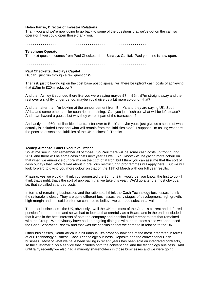## **Helen Parris, Director of Investor Relations**

Thank you and we're now going to go back to some of the questions that we've got on the call, so operator if you could open those thank you.

. . . . . . . . . . . . . . . . . . . . . . . . . . . . . . . . . . . . . . . . . . . . . . . . . . . . . . . . . . . . . .

# **Telephone Operator**

The next question comes from Paul Checketts from Barclays Capital. Paul your line is now open.

. . . . . . . . . . . . . . . . . . . . . . . . . . . . . . . . . . . . . . . . . . . . . . . . . . . . . . . . . . . . . .

# **Paul Checketts, Barclays Capital**

Hi, can I just run through a few questions?

The first, just following up on the cost base post disposal, will there be upfront cash costs of achieving that £15m to £20m reduction?

And then Ashley it sounded there like you were saying maybe £7m, £6m, £7m straight away and the rest over a slightly longer period, maybe you'd give us a bit more colour on that?

And then after that, I'm looking at the announcement from Brink's and they are saying UK, South Africa and some other smaller countries, remaining. Can you just flesh out what will be left please? And I can hazard a guess, but why they weren't part of the transaction?

And lastly, the £60m of liabilities that transfer over to Brink's maybe you'd just give us a sense of what actually is included I that and what will remain from the liabilities side? I suppose I'm asking what are the pension assets and liabilities of the UK business? Thanks.

. . . . . . . . . . . . . . . . . . . . . . . . . . . . . . . . . . . . . . . . . . . . . . . . . . . . . . . . . . . . . .

# **Ashley Almanza, Chief Executive Officer**

So let me see if I can remember all of those. So Paul there will be some cash costs up front during 2020 and there will be some cash costs next year as well. You know we'll be giving more colour on that when we announce our prelims on the 11th of March, but I think you can assume that the sort of cash outlays that we've talked about in previous restructuring programmes will apply here. But we will look forward to giving you more colour on that on the 11th of March with our full year results.

Phasing, yes we would - I think you suggested the £6m or £7m would be, you know, the first to go - I think that's right, that's the sort of approach that we take this year. We'd go after the most obvious, i.e. that so called stranded costs.

In terms of remaining businesses and the rationale, I think the Cash Technology businesses I think the rationale is clear. They are quite different businesses, early stages of development, high growth, high margin and as I said earlier we continue to believe we can add substantial value there.

The other businesses - the UK, obviously - well the UK has most of the Group's current and deferred pension fund members and so we had to look at that carefully as a Board, and in the end concluded that it was in the best interests of both the company and pension fund members that that remained with the Group. We obviously have had an ongoing dialogue with the trustees since we announced the Cash Separation Review and that was the conclusion that we came to in relation to the UK.

Other businesses, South Africa is a bit unusual, it's probably now one of the most integrated in terms of our Technology business, Cash Technology business, Deposita and the conventional Cash business. Most of what we have been selling in recent years has been sold on integrated contracts, so the customer buys a service that includes both the conventional and the technology business. And until fairly recently we also had a minority shareholders in those businesses and we were going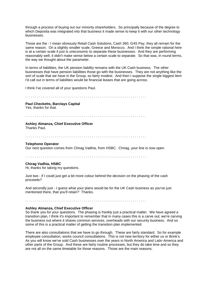through a process of buying out our minority shareholders. So principally because of the degree to which Deposita was integrated into that business it made sense to keep it with our other technology businesses.

Those are the - I mean obviously Retail Cash Solutions, Cash 360, G4S Pay, they all remain for the same reason. On a slightly smaller scale, Greece and Morocco. And I think the simple rational here is at a certain scale it just is uneconomic to separate these businesses. And they are performing reasonably well; it didn't make sense below a certain scale to separate. So that was, in round terms, the way we thought about the parameter.

In terms of liabilities, the UK pension liability remains with the UK Cash business. The other businesses that have pension liabilities those go with the businesses. They are not anything like the sort of scale that we have in the Group, so fairly modest. And then I suppose the single biggest item I'd call out in terms of liabilities would be financial leases that are going across.

I think I've covered all of your questions Paul.

. . . . . . . . . . . . . . . . . . . . . . . . . . . . . . . . . . . . . . . . . . . . . . . . . . . . . . . . . . . . . .

# **Paul Checketts, Barclays Capital**

Yes, thanks for that.

. . . . . . . . . . . . . . . . . . . . . . . . . . . . . . . . . . . . . . . . . . . . . . . . . . . . . . . . . . . . . .

# **Ashley Almanza, Chief Executive Officer**

Thanks Paul.

. . . . . . . . . . . . . . . . . . . . . . . . . . . . . . . . . . . . . . . . . . . . . . . . . . . . . . . . . . . . . .

# **Telephone Operator**

Our next question comes from Chirag Vadhia, from HSBC. Chriag, your line is now open.

. . . . . . . . . . . . . . . . . . . . . . . . . . . . . . . . . . . . . . . . . . . . . . . . . . . . . . . . . . . . . .

# **Chirag Vadhia, HSBC**

Hi, thanks for taking my questions.

Just two - if I could just get a bit more colour behind the decision on the phasing of the cash proceeds?

And secondly just - I guess what your plans would be for the UK Cash business as you've just mentioned there, that you'll retain? Thanks.

. . . . . . . . . . . . . . . . . . . . . . . . . . . . . . . . . . . . . . . . . . . . . . . . . . . . . . . . . . . . . .

# **Ashley Almanza, Chief Executive Officer**

So thank you for your questions. The phasing is frankly just a practical matter. We have agreed a transition plan, I think it's important to remember that in many cases this is a carve out; we're carving the business out where it shares common services, overheads with our security business. And so some of this is a practical matter of getting the transition plan implemented.

There are also consultations that we have to go through. These are fairly standard. So for example employee consultation, works council consultations. This is not new territory for either us or Brink's. As you will know we've sold Cash businesses over the years in North America and Latin America and other parts of the Group. And these are fairly routine processes, but they do take time and so they are not all on the same timetable for those reasons. Those are the main reasons.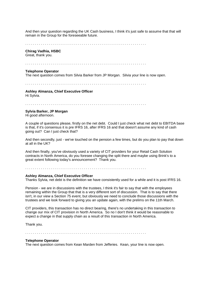And then your question regarding the UK Cash business, I think it's just safe to assume that that will remain in the Group for the foreseeable future.

. . . . . . . . . . . . . . . . . . . . . . . . . . . . . . . . . . . . . . . . . . . . . . . . . . . . . . . . . . . . . .

# **Chirag Vadhia, HSBC**

Great, thank you.

. . . . . . . . . . . . . . . . . . . . . . . . . . . . . . . . . . . . . . . . . . . . . . . . . . . . . . . . . . . . . .

## **Telephone Operator**

The next question comes from Silvia Barker from JP Morgan. Silvia your line is now open.

. . . . . . . . . . . . . . . . . . . . . . . . . . . . . . . . . . . . . . . . . . . . . . . . . . . . . . . . . . . . . .

**Ashley Almanza, Chief Executive Officer** Hi Sylvia.

. . . . . . . . . . . . . . . . . . . . . . . . . . . . . . . . . . . . . . . . . . . . . . . . . . . . . . . . . . . . . .

## **Sylvia Barker, JP Morgan**

Hi good afternoon.

A couple of questions please, firstly on the net debt. Could I just check what net debt to EBITDA base is that, if it's consensus it is pre IFRS 16, after IFRS 16 and that doesn't assume any kind of cash going out? Can I just check that?

And then secondly, just - we've touched on the pension a few times, but do you plan to pay that down at all in the UK?

And then finally, you've obviously used a variety of CIT providers for your Retail Cash Solution contracts in North America, do you foresee changing the split there and maybe using Brink's to a great extent following today's announcement? Thank you.

. . . . . . . . . . . . . . . . . . . . . . . . . . . . . . . . . . . . . . . . . . . . . . . . . . . . . . . . . . . . . .

#### **Ashley Almanza, Chief Executive Officer**

Thanks Sylvia, net debt is the definition we have consistently used for a while and it is post IFRS 16.

Pension - we are in discussions with the trustees, I think it's fair to say that with the employees remaining within the Group that that is a very different sort of discussion. That is to say that there isn't, in our view a Section 75 event, but obviously we need to conclude those discussions with the trustees and we look forward to giving you an update again, with the prelims on the 11th March.

CIT providers, this transaction has no direct bearing, there's no undertaking in this transaction to change our mix of CIT provision in North America. So no I don't think it would be reasonable to expect a change in that supply chain as a result of this transaction in North America.

Thank you.

. . . . . . . . . . . . . . . . . . . . . . . . . . . . . . . . . . . . . . . . . . . . . . . . . . . . . . . . . . . . . .

# **Telephone Operator**

The next question comes from Kean Marden from Jefferies. Kean, your line is now open.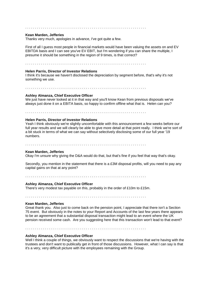# . . . . . . . . . . . . . . . . . . . . . . . . . . . . . . . . . . . . . . . . . . . . . . . . . . . . . . . . . . . . . .

#### **Kean Marden, Jefferies**

Thanks very much, apologies in advance, I've got quite a few.

First of all I guess most people in financial markets would have been valuing the assets on and EV EBITDA basis and I can see you've EV EBIT, but I'm wondering if you can share the multiple, I presume it should be something in the region of 9 times, is that correct?

. . . . . . . . . . . . . . . . . . . . . . . . . . . . . . . . . . . . . . . . . . . . . . . . . . . . . . . . . . . . . .

# **Helen Parris, Director of Investor Relations**

I think it's because we haven't disclosed the depreciation by segment before, that's why it's not something we use.

. . . . . . . . . . . . . . . . . . . . . . . . . . . . . . . . . . . . . . . . . . . . . . . . . . . . . . . . . . . . . .

#### **Ashley Almanza, Chief Executive Officer**

We just have never looked at it in that way and you'll know Kean from previous disposals we've always just done it on a EBITA basis, so happy to confirm offline what that is. Helen can you?

. . . . . . . . . . . . . . . . . . . . . . . . . . . . . . . . . . . . . . . . . . . . . . . . . . . . . . . . . . . . . .

#### **Helen Parris, Director of Investor Relations**

Yeah I think obviously we're slightly uncomfortable with this announcement a few weeks before our full year results and we will clearly be able to give more detail at that point really. I think we're sort of a bit stuck in terms of what we can say without selectively disclosing some of our full year '19 numbers.

. . . . . . . . . . . . . . . . . . . . . . . . . . . . . . . . . . . . . . . . . . . . . . . . . . . . . . . . . . . . . .

#### **Kean Marden, Jefferies**

Okay I'm unsure why giving the D&A would do that, but that's fine if you feel that way that's okay.

Secondly, you mention in the statement that there is a £3M disposal profits, will you need to pay any capital gains on that at any point?

. . . . . . . . . . . . . . . . . . . . . . . . . . . . . . . . . . . . . . . . . . . . . . . . . . . . . . . . . . . . . .

# **Ashley Almanza, Chief Executive Officer**

There's very modest tax payable on this, probably in the order of £10m to £15m.

. . . . . . . . . . . . . . . . . . . . . . . . . . . . . . . . . . . . . . . . . . . . . . . . . . . . . . . . . . . . . .

#### **Kean Marden, Jefferies**

Great thank you. Also just to come back on the pension point, I appreciate that there isn't a Section 75 event. But obviously in the notes to your Report and Accounts of the last few years there appears to be an agreement that a substantial disposal transaction might lead to an event where the UK pension received some cash. Are you suggesting here that this transaction won't lead to that event?

. . . . . . . . . . . . . . . . . . . . . . . . . . . . . . . . . . . . . . . . . . . . . . . . . . . . . . . . . . . . . .

# **Ashley Almanza, Chief Executive Officer**

Well I think a couple of things, we obviously want to respect the discussions that we're having with the trustees and don't want to publically get in front of those discussions. However, what I can say is that it's a very, very difficult picture with the employees remaining with the Group.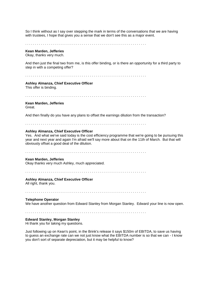So I think without as I say over stepping the mark in terms of the conversations that we are having with trustees, I hope that gives you a sense that we don't see this as a major event.

. . . . . . . . . . . . . . . . . . . . . . . . . . . . . . . . . . . . . . . . . . . . . . . . . . . . . . . . . . . . . .

#### **Kean Marden, Jefferies**

Okay, thanks very much.

And then just the final two from me, is this offer binding, or is there an opportunity for a third party to step in with a competing offer?

. . . . . . . . . . . . . . . . . . . . . . . . . . . . . . . . . . . . . . . . . . . . . . . . . . . . . . . . . . . . . .

#### **Ashley Almanza, Chief Executive Officer**

This offer is binding.

. . . . . . . . . . . . . . . . . . . . . . . . . . . . . . . . . . . . . . . . . . . . . . . . . . . . . . . . . . . . . .

#### **Kean Marden, Jefferies**

Great.

And then finally do you have any plans to offset the earnings dilution from the transaction?

. . . . . . . . . . . . . . . . . . . . . . . . . . . . . . . . . . . . . . . . . . . . . . . . . . . . . . . . . . . . . .

# **Ashley Almanza, Chief Executive Officer**

Yes. And what we've said today is the cost efficiency programme that we're going to be pursuing this year and next year and again I'm afraid we'll say more about that on the 11th of March. But that will obviously offset a good deal of the dilution.

. . . . . . . . . . . . . . . . . . . . . . . . . . . . . . . . . . . . . . . . . . . . . . . . . . . . . . . . . . . . . .

## **Kean Marden, Jefferies**

Okay thanks very much Ashley, much appreciated.

# . . . . . . . . . . . . . . . . . . . . . . . . . . . . . . . . . . . . . . . . . . . . . . . . . . . . . . . . . . . . . .

# **Ashley Almanza, Chief Executive Officer**

All right, thank you.

. . . . . . . . . . . . . . . . . . . . . . . . . . . . . . . . . . . . . . . . . . . . . . . . . . . . . . . . . . . . . .

## **Telephone Operator**

We have another question from Edward Stanley from Morgan Stanley. Edward your line is now open.

. . . . . . . . . . . . . . . . . . . . . . . . . . . . . . . . . . . . . . . . . . . . . . . . . . . . . . . . . . . . . .

# **Edward Stanley, Morgan Stanley**

Hi thank you for taking my questions.

Just following up on Kean's point, in the Brink's release it says \$150m of EBITDA, to save us having to guess an exchange rate can we not just know what the EBITDA number is so that we can - I know you don't sort of separate depreciation, but it may be helpful to know?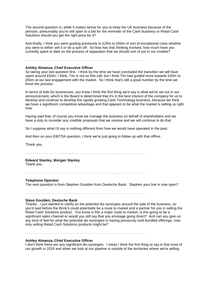The second question is, while it makes sense for you to keep the UK business because of the pension, presumably you're still open to a bid for the reminder of the Cash business or Retail Cash Solutions should you get the right price for it?

And finally, I think you were guiding previously to £25m to £50m of sort of exceptional costs whether you were to either sell it or do a spin off. So how has that thinking evolved, how much have you currently spent to date on the process of separation that we should sort of put in our models?

. . . . . . . . . . . . . . . . . . . . . . . . . . . . . . . . . . . . . . . . . . . . . . . . . . . . . . . . . . . . . .

# **Ashley Almanza, Chief Executive Officer**

So taking your last question first. I think by the time we have concluded the transition we will have spent around £50m. I think, Tim is not on this call, but I think Tim had guided more towards £40m to £50m at our last engagement with the market. So I think that's still a good number by the time we finish the process.

In terms of bids for businesses, you know I think the first thing we'd say is what we've set out in our announcement, which is the Board is determined that it's in the best interest of the company for us to develop and continue to develop the rapidly growing Cash Technology business, because we think we have a significant competitive advantage and that appears to be what the market is selling us right now.

Having said that, of course you know we manage the business on behalf of shareholders and we have a duty to consider any credible proposals that we receive and we will continue to do that.

So I suppose what I'd say is nothing different from how we would have operated in the past.

And then on your EBITDA question, I think we're just going to follow up with that offline.

Thank you.

. . . . . . . . . . . . . . . . . . . . . . . . . . . . . . . . . . . . . . . . . . . . . . . . . . . . . . . . . . . . . .

## **Edward Stanley, Morgan Stanley**

Thank you.

. . . . . . . . . . . . . . . . . . . . . . . . . . . . . . . . . . . . . . . . . . . . . . . . . . . . . . . . . . . . . .

#### **Telephone Operator**

The next question is from Stephen Goulden from Deutsche Bank. Stephen your line is now open?

. . . . . . . . . . . . . . . . . . . . . . . . . . . . . . . . . . . . . . . . . . . . . . . . . . . . . . . . . . . . . .

#### **Steve Goulden, Deutsche Bank**

Thanks. I just wanted to clarify on the potential dis-synergies around the sale of the business, so you'd said before the Brink's could potentially be a route to market and a partner for you in selling the Retail Cash Solutions product. You know is this a major route to market, is this going to be a significant sales channel or would you still say that you envisage going direct? And can you give us any kind of feel for what the potential dis-synergies in having previously sold bundled offerings, now only selling Retail Cash Solutions products might be?

. . . . . . . . . . . . . . . . . . . . . . . . . . . . . . . . . . . . . . . . . . . . . . . . . . . . . . . . . . . . . .

# **Ashley Almanza, Chief Executive Officer**

I don't think there are any significant dis-synergies. I mean I think the first thing to say is that most of our growth in 2019 and when we look at our pipeline is outside of the territories where we're selling